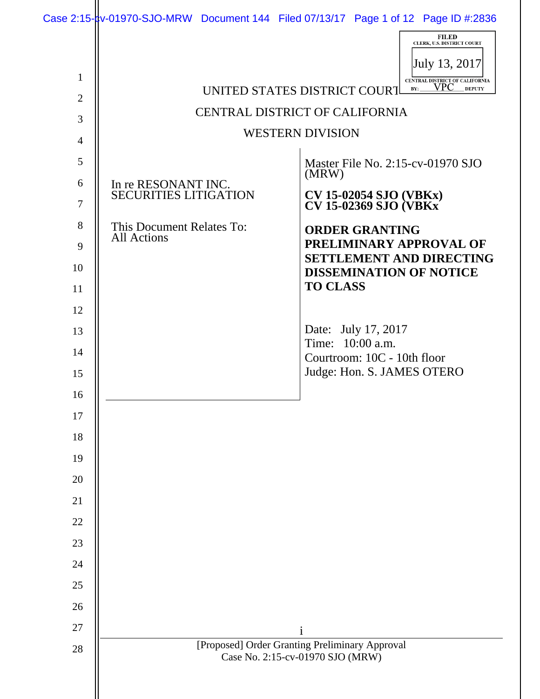|                |                                                                                    | <b>FILED</b><br>CLERK, U.S. DISTRICT COURT                                                    |
|----------------|------------------------------------------------------------------------------------|-----------------------------------------------------------------------------------------------|
|                |                                                                                    | July 13, 2017                                                                                 |
| $\mathbf{1}$   |                                                                                    | CENTRAL DISTRICT OF CALIFORNIA<br>VPC<br><b>DEPUTY</b><br>BY:<br>UNITED STATES DISTRICT COURT |
| $\overline{2}$ | CENTRAL DISTRICT OF CALIFORNIA                                                     |                                                                                               |
| 3              |                                                                                    | <b>WESTERN DIVISION</b>                                                                       |
| $\overline{4}$ |                                                                                    |                                                                                               |
| 5              |                                                                                    | Master File No. 2:15-cv-01970 SJO<br>(MRW)                                                    |
| 6              | In re RESONANT INC.<br><b>SECURITIES LITIGATION</b>                                |                                                                                               |
| $\tau$         |                                                                                    | <b>CV 15-02054 SJO (VBKx)<br/>CV 15-02369 SJO (VBKx)</b>                                      |
| 8              | This Document Relates To:<br><b>All Actions</b>                                    | <b>ORDER GRANTING</b>                                                                         |
| 9              |                                                                                    | PRELIMINARY APPROVAL OF<br><b>SETTLEMENT AND DIRECTING</b>                                    |
| 10             |                                                                                    | <b>DISSEMINATION OF NOTICE</b>                                                                |
| 11             |                                                                                    | <b>TO CLASS</b>                                                                               |
| 12             |                                                                                    |                                                                                               |
| 13             |                                                                                    | Date: July 17, 2017<br>Time: 10:00 a.m.                                                       |
| 14             |                                                                                    | Courtroom: 10C - 10th floor                                                                   |
| 15             |                                                                                    | Judge: Hon. S. JAMES OTERO                                                                    |
| 16             |                                                                                    |                                                                                               |
| 17             |                                                                                    |                                                                                               |
| 18             |                                                                                    |                                                                                               |
| 19             |                                                                                    |                                                                                               |
| 20             |                                                                                    |                                                                                               |
| 21             |                                                                                    |                                                                                               |
| 22             |                                                                                    |                                                                                               |
| 23             |                                                                                    |                                                                                               |
| 24             |                                                                                    |                                                                                               |
| 25             |                                                                                    |                                                                                               |
| 26             |                                                                                    |                                                                                               |
| 27             |                                                                                    | i                                                                                             |
| 28             | [Proposed] Order Granting Preliminary Approval<br>Case No. 2:15-cv-01970 SJO (MRW) |                                                                                               |
|                |                                                                                    |                                                                                               |
|                |                                                                                    |                                                                                               |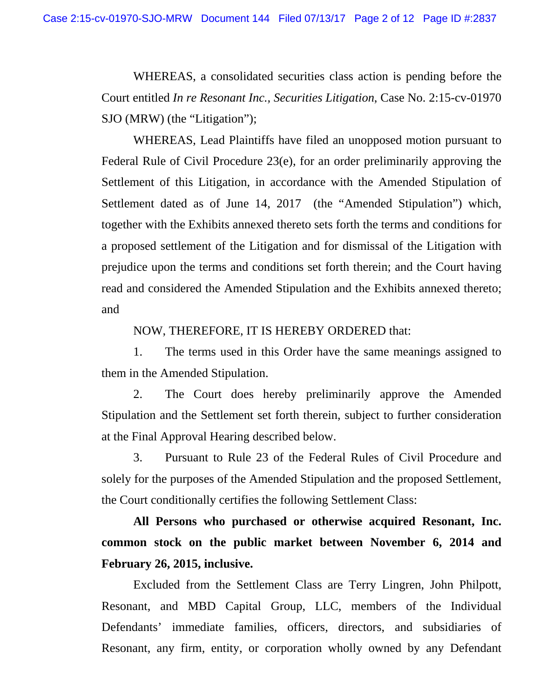WHEREAS, a consolidated securities class action is pending before the Court entitled *In re Resonant Inc., Securities Litigation*, Case No. 2:15-cv-01970 SJO (MRW) (the "Litigation");

WHEREAS, Lead Plaintiffs have filed an unopposed motion pursuant to Federal Rule of Civil Procedure 23(e), for an order preliminarily approving the Settlement of this Litigation, in accordance with the Amended Stipulation of Settlement dated as of June 14, 2017 (the "Amended Stipulation") which, together with the Exhibits annexed thereto sets forth the terms and conditions for a proposed settlement of the Litigation and for dismissal of the Litigation with prejudice upon the terms and conditions set forth therein; and the Court having read and considered the Amended Stipulation and the Exhibits annexed thereto; and

NOW, THEREFORE, IT IS HEREBY ORDERED that:

1. The terms used in this Order have the same meanings assigned to them in the Amended Stipulation.

2. The Court does hereby preliminarily approve the Amended Stipulation and the Settlement set forth therein, subject to further consideration at the Final Approval Hearing described below.

3. Pursuant to Rule 23 of the Federal Rules of Civil Procedure and solely for the purposes of the Amended Stipulation and the proposed Settlement, the Court conditionally certifies the following Settlement Class:

**All Persons who purchased or otherwise acquired Resonant, Inc. common stock on the public market between November 6, 2014 and February 26, 2015, inclusive.** 

 Excluded from the Settlement Class are Terry Lingren, John Philpott, Resonant, and MBD Capital Group, LLC, members of the Individual Defendants' immediate families, officers, directors, and subsidiaries of Resonant, any firm, entity, or corporation wholly owned by any Defendant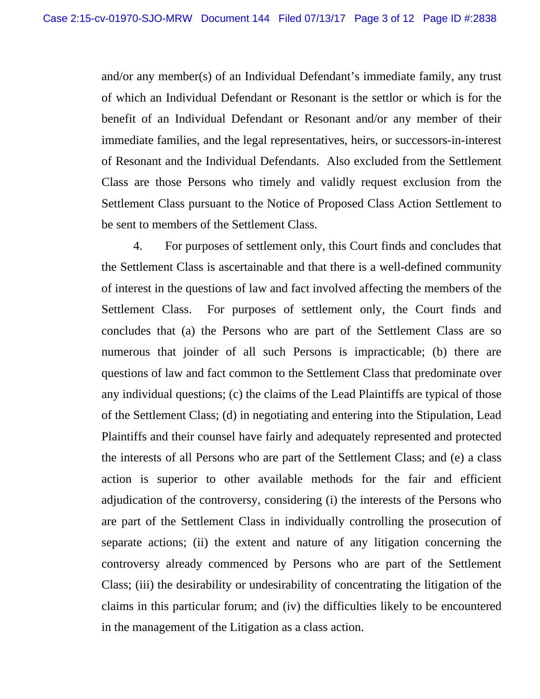and/or any member(s) of an Individual Defendant's immediate family, any trust of which an Individual Defendant or Resonant is the settlor or which is for the benefit of an Individual Defendant or Resonant and/or any member of their immediate families, and the legal representatives, heirs, or successors-in-interest of Resonant and the Individual Defendants. Also excluded from the Settlement Class are those Persons who timely and validly request exclusion from the Settlement Class pursuant to the Notice of Proposed Class Action Settlement to be sent to members of the Settlement Class.

4. For purposes of settlement only, this Court finds and concludes that the Settlement Class is ascertainable and that there is a well-defined community of interest in the questions of law and fact involved affecting the members of the Settlement Class. For purposes of settlement only, the Court finds and concludes that (a) the Persons who are part of the Settlement Class are so numerous that joinder of all such Persons is impracticable; (b) there are questions of law and fact common to the Settlement Class that predominate over any individual questions; (c) the claims of the Lead Plaintiffs are typical of those of the Settlement Class; (d) in negotiating and entering into the Stipulation, Lead Plaintiffs and their counsel have fairly and adequately represented and protected the interests of all Persons who are part of the Settlement Class; and (e) a class action is superior to other available methods for the fair and efficient adjudication of the controversy, considering (i) the interests of the Persons who are part of the Settlement Class in individually controlling the prosecution of separate actions; (ii) the extent and nature of any litigation concerning the controversy already commenced by Persons who are part of the Settlement Class; (iii) the desirability or undesirability of concentrating the litigation of the claims in this particular forum; and (iv) the difficulties likely to be encountered in the management of the Litigation as a class action.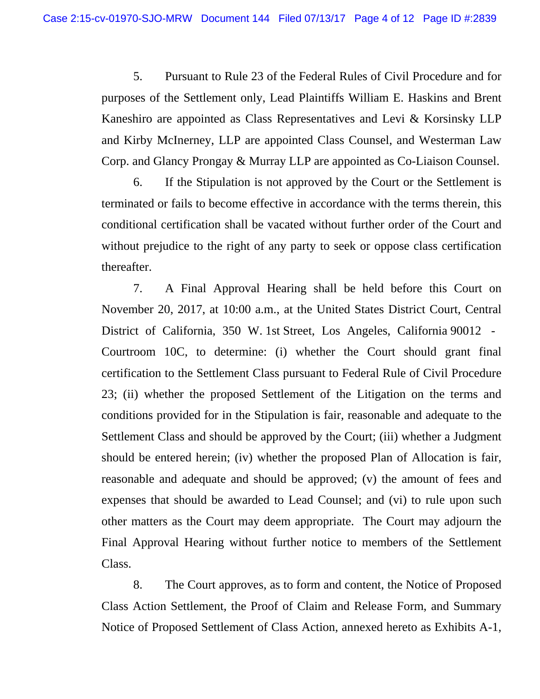5. Pursuant to Rule 23 of the Federal Rules of Civil Procedure and for purposes of the Settlement only, Lead Plaintiffs William E. Haskins and Brent Kaneshiro are appointed as Class Representatives and Levi & Korsinsky LLP and Kirby McInerney, LLP are appointed Class Counsel, and Westerman Law Corp. and Glancy Prongay & Murray LLP are appointed as Co-Liaison Counsel.

6. If the Stipulation is not approved by the Court or the Settlement is terminated or fails to become effective in accordance with the terms therein, this conditional certification shall be vacated without further order of the Court and without prejudice to the right of any party to seek or oppose class certification thereafter.

7. A Final Approval Hearing shall be held before this Court on November 20, 2017, at 10:00 a.m., at the United States District Court, Central District of California, 350 W. 1st Street, Los Angeles, California 90012 - Courtroom 10C, to determine: (i) whether the Court should grant final certification to the Settlement Class pursuant to Federal Rule of Civil Procedure 23; (ii) whether the proposed Settlement of the Litigation on the terms and conditions provided for in the Stipulation is fair, reasonable and adequate to the Settlement Class and should be approved by the Court; (iii) whether a Judgment should be entered herein; (iv) whether the proposed Plan of Allocation is fair, reasonable and adequate and should be approved; (v) the amount of fees and expenses that should be awarded to Lead Counsel; and (vi) to rule upon such other matters as the Court may deem appropriate. The Court may adjourn the Final Approval Hearing without further notice to members of the Settlement Class.

8. The Court approves, as to form and content, the Notice of Proposed Class Action Settlement, the Proof of Claim and Release Form, and Summary Notice of Proposed Settlement of Class Action, annexed hereto as Exhibits A-1,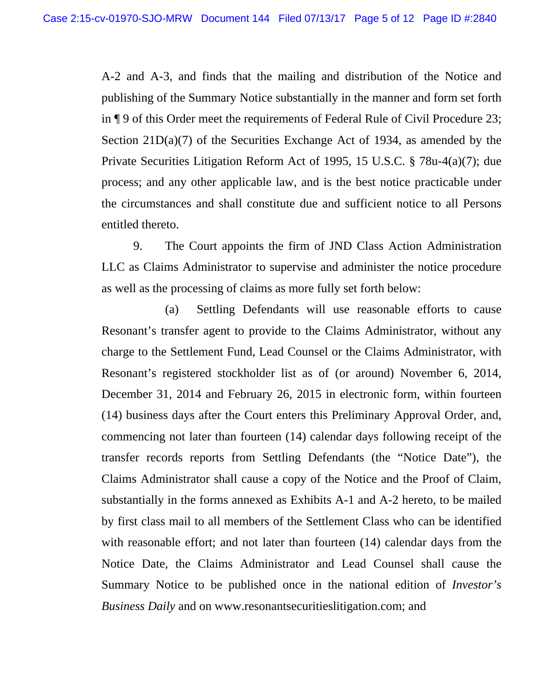A-2 and A-3, and finds that the mailing and distribution of the Notice and publishing of the Summary Notice substantially in the manner and form set forth in ¶ 9 of this Order meet the requirements of Federal Rule of Civil Procedure 23; Section 21D(a)(7) of the Securities Exchange Act of 1934, as amended by the Private Securities Litigation Reform Act of 1995, 15 U.S.C. § 78u-4(a)(7); due process; and any other applicable law, and is the best notice practicable under the circumstances and shall constitute due and sufficient notice to all Persons entitled thereto.

9. The Court appoints the firm of JND Class Action Administration LLC as Claims Administrator to supervise and administer the notice procedure as well as the processing of claims as more fully set forth below:

(a) Settling Defendants will use reasonable efforts to cause Resonant's transfer agent to provide to the Claims Administrator, without any charge to the Settlement Fund, Lead Counsel or the Claims Administrator, with Resonant's registered stockholder list as of (or around) November 6, 2014, December 31, 2014 and February 26, 2015 in electronic form, within fourteen (14) business days after the Court enters this Preliminary Approval Order, and, commencing not later than fourteen (14) calendar days following receipt of the transfer records reports from Settling Defendants (the "Notice Date"), the Claims Administrator shall cause a copy of the Notice and the Proof of Claim, substantially in the forms annexed as Exhibits A-1 and A-2 hereto, to be mailed by first class mail to all members of the Settlement Class who can be identified with reasonable effort; and not later than fourteen (14) calendar days from the Notice Date, the Claims Administrator and Lead Counsel shall cause the Summary Notice to be published once in the national edition of *Investor's Business Daily* and on www.resonantsecuritieslitigation.com; and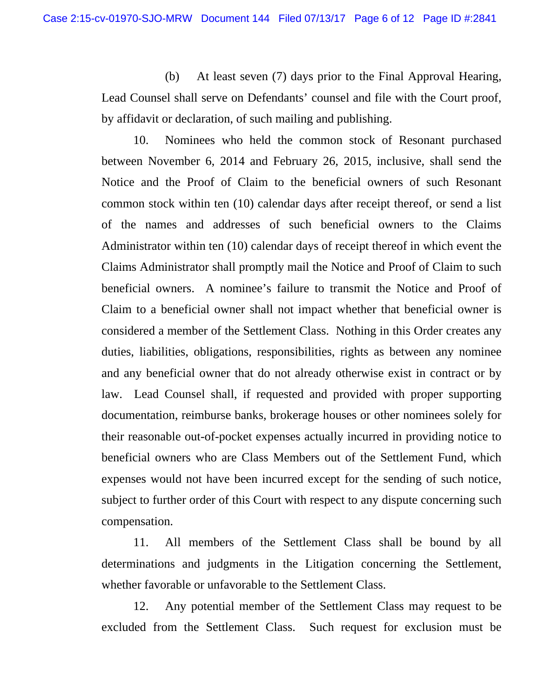(b) At least seven (7) days prior to the Final Approval Hearing, Lead Counsel shall serve on Defendants' counsel and file with the Court proof, by affidavit or declaration, of such mailing and publishing.

10. Nominees who held the common stock of Resonant purchased between November 6, 2014 and February 26, 2015, inclusive, shall send the Notice and the Proof of Claim to the beneficial owners of such Resonant common stock within ten (10) calendar days after receipt thereof, or send a list of the names and addresses of such beneficial owners to the Claims Administrator within ten (10) calendar days of receipt thereof in which event the Claims Administrator shall promptly mail the Notice and Proof of Claim to such beneficial owners. A nominee's failure to transmit the Notice and Proof of Claim to a beneficial owner shall not impact whether that beneficial owner is considered a member of the Settlement Class. Nothing in this Order creates any duties, liabilities, obligations, responsibilities, rights as between any nominee and any beneficial owner that do not already otherwise exist in contract or by law. Lead Counsel shall, if requested and provided with proper supporting documentation, reimburse banks, brokerage houses or other nominees solely for their reasonable out-of-pocket expenses actually incurred in providing notice to beneficial owners who are Class Members out of the Settlement Fund, which expenses would not have been incurred except for the sending of such notice, subject to further order of this Court with respect to any dispute concerning such compensation.

11. All members of the Settlement Class shall be bound by all determinations and judgments in the Litigation concerning the Settlement, whether favorable or unfavorable to the Settlement Class.

12. Any potential member of the Settlement Class may request to be excluded from the Settlement Class. Such request for exclusion must be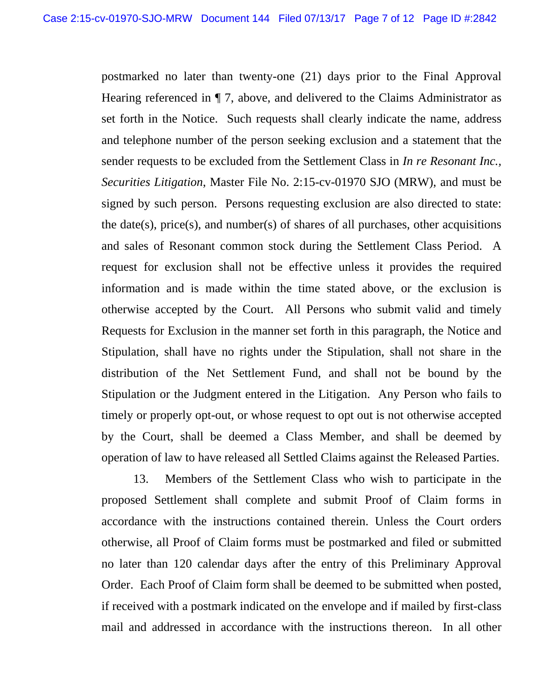postmarked no later than twenty-one (21) days prior to the Final Approval Hearing referenced in ¶ 7, above, and delivered to the Claims Administrator as set forth in the Notice. Such requests shall clearly indicate the name, address and telephone number of the person seeking exclusion and a statement that the sender requests to be excluded from the Settlement Class in *In re Resonant Inc., Securities Litigation*, Master File No. 2:15-cv-01970 SJO (MRW), and must be signed by such person. Persons requesting exclusion are also directed to state: the date(s), price(s), and number(s) of shares of all purchases, other acquisitions and sales of Resonant common stock during the Settlement Class Period. A request for exclusion shall not be effective unless it provides the required information and is made within the time stated above, or the exclusion is otherwise accepted by the Court. All Persons who submit valid and timely Requests for Exclusion in the manner set forth in this paragraph, the Notice and Stipulation, shall have no rights under the Stipulation, shall not share in the distribution of the Net Settlement Fund, and shall not be bound by the Stipulation or the Judgment entered in the Litigation. Any Person who fails to timely or properly opt-out, or whose request to opt out is not otherwise accepted by the Court, shall be deemed a Class Member, and shall be deemed by operation of law to have released all Settled Claims against the Released Parties.

13. Members of the Settlement Class who wish to participate in the proposed Settlement shall complete and submit Proof of Claim forms in accordance with the instructions contained therein. Unless the Court orders otherwise, all Proof of Claim forms must be postmarked and filed or submitted no later than 120 calendar days after the entry of this Preliminary Approval Order. Each Proof of Claim form shall be deemed to be submitted when posted, if received with a postmark indicated on the envelope and if mailed by first-class mail and addressed in accordance with the instructions thereon. In all other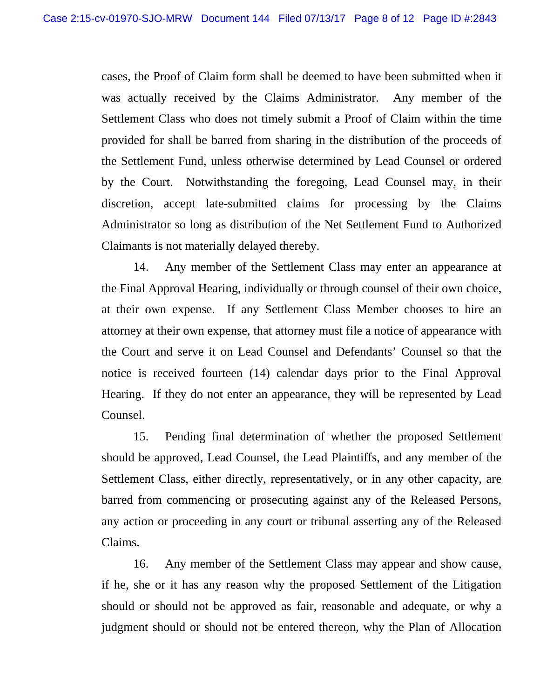cases, the Proof of Claim form shall be deemed to have been submitted when it was actually received by the Claims Administrator. Any member of the Settlement Class who does not timely submit a Proof of Claim within the time provided for shall be barred from sharing in the distribution of the proceeds of the Settlement Fund, unless otherwise determined by Lead Counsel or ordered by the Court. Notwithstanding the foregoing, Lead Counsel may, in their discretion, accept late-submitted claims for processing by the Claims Administrator so long as distribution of the Net Settlement Fund to Authorized Claimants is not materially delayed thereby.

14. Any member of the Settlement Class may enter an appearance at the Final Approval Hearing, individually or through counsel of their own choice, at their own expense. If any Settlement Class Member chooses to hire an attorney at their own expense, that attorney must file a notice of appearance with the Court and serve it on Lead Counsel and Defendants' Counsel so that the notice is received fourteen (14) calendar days prior to the Final Approval Hearing. If they do not enter an appearance, they will be represented by Lead Counsel.

15. Pending final determination of whether the proposed Settlement should be approved, Lead Counsel, the Lead Plaintiffs, and any member of the Settlement Class, either directly, representatively, or in any other capacity, are barred from commencing or prosecuting against any of the Released Persons, any action or proceeding in any court or tribunal asserting any of the Released Claims.

16. Any member of the Settlement Class may appear and show cause, if he, she or it has any reason why the proposed Settlement of the Litigation should or should not be approved as fair, reasonable and adequate, or why a judgment should or should not be entered thereon, why the Plan of Allocation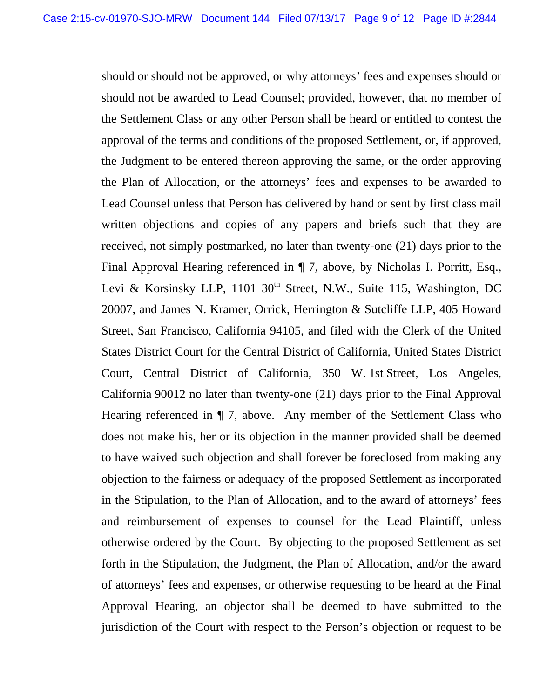should or should not be approved, or why attorneys' fees and expenses should or should not be awarded to Lead Counsel; provided, however, that no member of the Settlement Class or any other Person shall be heard or entitled to contest the approval of the terms and conditions of the proposed Settlement, or, if approved, the Judgment to be entered thereon approving the same, or the order approving the Plan of Allocation, or the attorneys' fees and expenses to be awarded to Lead Counsel unless that Person has delivered by hand or sent by first class mail written objections and copies of any papers and briefs such that they are received, not simply postmarked, no later than twenty-one (21) days prior to the Final Approval Hearing referenced in ¶ 7, above, by Nicholas I. Porritt, Esq., Levi & Korsinsky LLP, 1101 30<sup>th</sup> Street, N.W., Suite 115, Washington, DC 20007, and James N. Kramer, Orrick, Herrington & Sutcliffe LLP, 405 Howard Street, San Francisco, California 94105, and filed with the Clerk of the United States District Court for the Central District of California, United States District Court, Central District of California, 350 W. 1st Street, Los Angeles, California 90012 no later than twenty-one (21) days prior to the Final Approval Hearing referenced in ¶ 7, above. Any member of the Settlement Class who does not make his, her or its objection in the manner provided shall be deemed to have waived such objection and shall forever be foreclosed from making any objection to the fairness or adequacy of the proposed Settlement as incorporated in the Stipulation, to the Plan of Allocation, and to the award of attorneys' fees and reimbursement of expenses to counsel for the Lead Plaintiff, unless otherwise ordered by the Court. By objecting to the proposed Settlement as set forth in the Stipulation, the Judgment, the Plan of Allocation, and/or the award of attorneys' fees and expenses, or otherwise requesting to be heard at the Final Approval Hearing, an objector shall be deemed to have submitted to the jurisdiction of the Court with respect to the Person's objection or request to be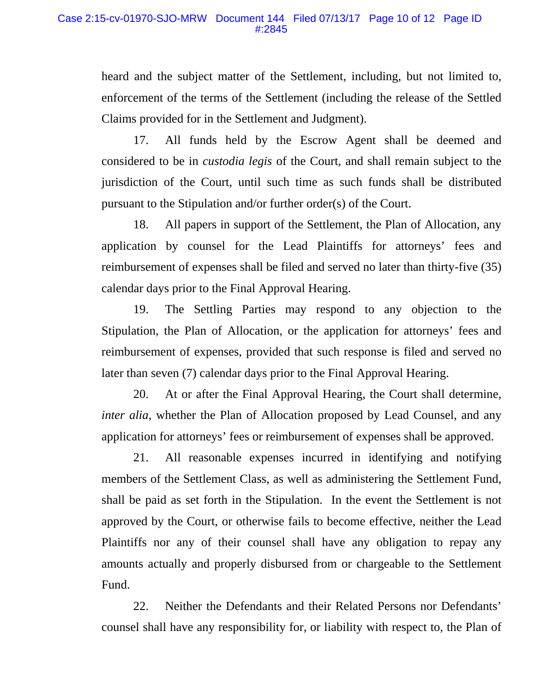heard and the subject matter of the Settlement, including, but not limited to, enforcement of the terms of the Settlement (including the release of the Settled Claims provided for in the Settlement and Judgment).

17. All funds held by the Escrow Agent shall be deemed and considered to be in *custodia legis* of the Court, and shall remain subject to the jurisdiction of the Court, until such time as such funds shall be distributed pursuant to the Stipulation and/or further order(s) of the Court.

18. All papers in support of the Settlement, the Plan of Allocation, any application by counsel for the Lead Plaintiffs for attorneys' fees and reimbursement of expenses shall be filed and served no later than thirty-five (35) calendar days prior to the Final Approval Hearing.

19. The Settling Parties may respond to any objection to the Stipulation, the Plan of Allocation, or the application for attorneys' fees and reimbursement of expenses, provided that such response is filed and served no later than seven (7) calendar days prior to the Final Approval Hearing.

20. At or after the Final Approval Hearing, the Court shall determine, *inter alia*, whether the Plan of Allocation proposed by Lead Counsel, and any application for attorneys' fees or reimbursement of expenses shall be approved.

21. All reasonable expenses incurred in identifying and notifying members of the Settlement Class, as well as administering the Settlement Fund, shall be paid as set forth in the Stipulation. In the event the Settlement is not approved by the Court, or otherwise fails to become effective, neither the Lead Plaintiffs nor any of their counsel shall have any obligation to repay any amounts actually and properly disbursed from or chargeable to the Settlement Fund.

22. Neither the Defendants and their Related Persons nor Defendants' counsel shall have any responsibility for, or liability with respect to, the Plan of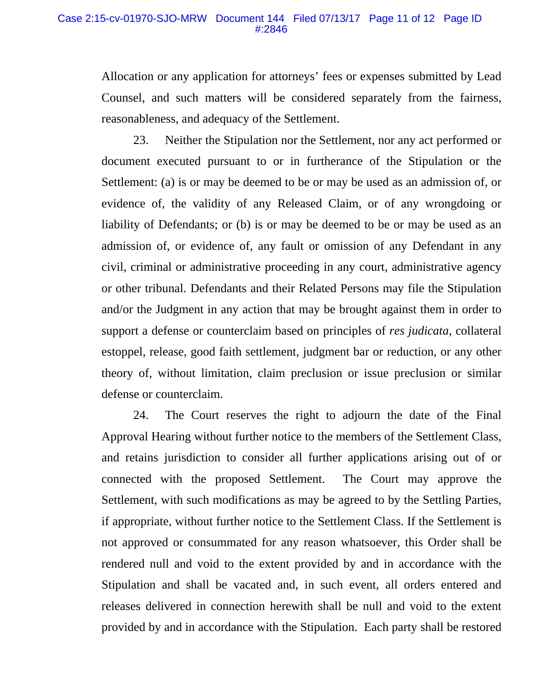Allocation or any application for attorneys' fees or expenses submitted by Lead Counsel, and such matters will be considered separately from the fairness, reasonableness, and adequacy of the Settlement.

23. Neither the Stipulation nor the Settlement, nor any act performed or document executed pursuant to or in furtherance of the Stipulation or the Settlement: (a) is or may be deemed to be or may be used as an admission of, or evidence of, the validity of any Released Claim, or of any wrongdoing or liability of Defendants; or (b) is or may be deemed to be or may be used as an admission of, or evidence of, any fault or omission of any Defendant in any civil, criminal or administrative proceeding in any court, administrative agency or other tribunal. Defendants and their Related Persons may file the Stipulation and/or the Judgment in any action that may be brought against them in order to support a defense or counterclaim based on principles of *res judicata*, collateral estoppel, release, good faith settlement, judgment bar or reduction, or any other theory of, without limitation, claim preclusion or issue preclusion or similar defense or counterclaim.

24. The Court reserves the right to adjourn the date of the Final Approval Hearing without further notice to the members of the Settlement Class, and retains jurisdiction to consider all further applications arising out of or connected with the proposed Settlement. The Court may approve the Settlement, with such modifications as may be agreed to by the Settling Parties, if appropriate, without further notice to the Settlement Class. If the Settlement is not approved or consummated for any reason whatsoever, this Order shall be rendered null and void to the extent provided by and in accordance with the Stipulation and shall be vacated and, in such event, all orders entered and releases delivered in connection herewith shall be null and void to the extent provided by and in accordance with the Stipulation. Each party shall be restored